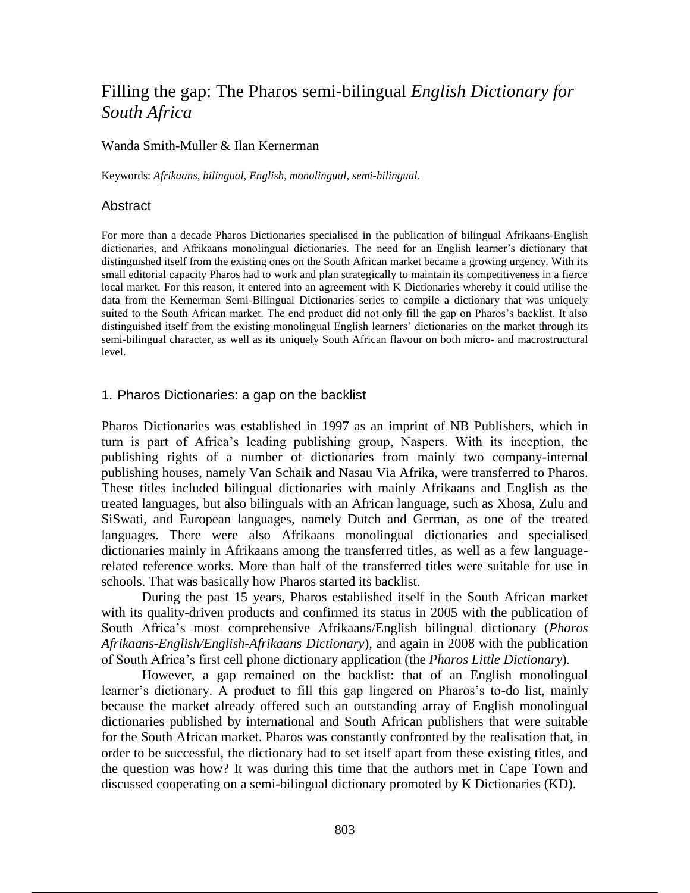# Filling the gap: The Pharos semi-bilingual *English Dictionary for South Africa*

#### Wanda Smith-Muller & Ilan Kernerman

Keywords: *Afrikaans*, *bilingual*, *English*, *monolingual*, *semi-bilingual*.

#### **Abstract**

For more than a decade Pharos Dictionaries specialised in the publication of bilingual Afrikaans-English dictionaries, and Afrikaans monolingual dictionaries. The need for an English learner's dictionary that distinguished itself from the existing ones on the South African market became a growing urgency. With its small editorial capacity Pharos had to work and plan strategically to maintain its competitiveness in a fierce local market. For this reason, it entered into an agreement with K Dictionaries whereby it could utilise the data from the Kernerman Semi-Bilingual Dictionaries series to compile a dictionary that was uniquely suited to the South African market. The end product did not only fill the gap on Pharos's backlist. It also distinguished itself from the existing monolingual English learners' dictionaries on the market through its semi-bilingual character, as well as its uniquely South African flavour on both micro- and macrostructural level.

# 1. Pharos Dictionaries: a gap on the backlist

Pharos Dictionaries was established in 1997 as an imprint of NB Publishers, which in turn is part of Africa's leading publishing group, Naspers. With its inception, the publishing rights of a number of dictionaries from mainly two company-internal publishing houses, namely Van Schaik and Nasau Via Afrika, were transferred to Pharos. These titles included bilingual dictionaries with mainly Afrikaans and English as the treated languages, but also bilinguals with an African language, such as Xhosa, Zulu and SiSwati, and European languages, namely Dutch and German, as one of the treated languages. There were also Afrikaans monolingual dictionaries and specialised dictionaries mainly in Afrikaans among the transferred titles, as well as a few languagerelated reference works. More than half of the transferred titles were suitable for use in schools. That was basically how Pharos started its backlist.

During the past 15 years, Pharos established itself in the South African market with its quality-driven products and confirmed its status in 2005 with the publication of South Africa's most comprehensive Afrikaans/English bilingual dictionary (*Pharos Afrikaans-English/English-Afrikaans Dictionary*), and again in 2008 with the publication of South Africa's first cell phone dictionary application (the *Pharos Little Dictionary*)*.*

However, a gap remained on the backlist: that of an English monolingual learner's dictionary. A product to fill this gap lingered on Pharos's to-do list, mainly because the market already offered such an outstanding array of English monolingual dictionaries published by international and South African publishers that were suitable for the South African market. Pharos was constantly confronted by the realisation that, in order to be successful, the dictionary had to set itself apart from these existing titles, and the question was how? It was during this time that the authors met in Cape Town and discussed cooperating on a semi-bilingual dictionary promoted by K Dictionaries (KD).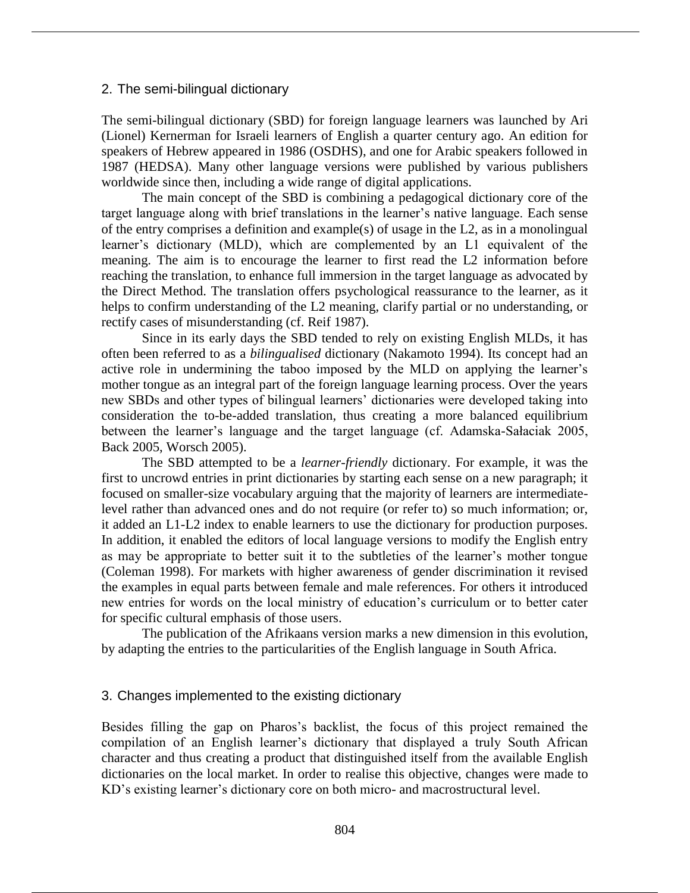#### 2. The semi-bilingual dictionary

The semi-bilingual dictionary (SBD) for foreign language learners was launched by Ari (Lionel) Kernerman for Israeli learners of English a quarter century ago. An edition for speakers of Hebrew appeared in 1986 (OSDHS), and one for Arabic speakers followed in 1987 (HEDSA). Many other language versions were published by various publishers worldwide since then, including a wide range of digital applications.

The main concept of the SBD is combining a pedagogical dictionary core of the target language along with brief translations in the learner's native language. Each sense of the entry comprises a definition and example(s) of usage in the L2, as in a monolingual learner's dictionary (MLD), which are complemented by an L1 equivalent of the meaning. The aim is to encourage the learner to first read the L2 information before reaching the translation, to enhance full immersion in the target language as advocated by the Direct Method. The translation offers psychological reassurance to the learner, as it helps to confirm understanding of the L2 meaning, clarify partial or no understanding, or rectify cases of misunderstanding (cf. Reif 1987).

Since in its early days the SBD tended to rely on existing English MLDs, it has often been referred to as a *bilingualised* dictionary (Nakamoto 1994). Its concept had an active role in undermining the taboo imposed by the MLD on applying the learner's mother tongue as an integral part of the foreign language learning process. Over the years new SBDs and other types of bilingual learners' dictionaries were developed taking into consideration the to-be-added translation, thus creating a more balanced equilibrium between the learner's language and the target language (cf. Adamska-Sałaciak 2005, Back 2005, Worsch 2005).

The SBD attempted to be a *learner-friendly* dictionary. For example, it was the first to uncrowd entries in print dictionaries by starting each sense on a new paragraph; it focused on smaller-size vocabulary arguing that the majority of learners are intermediatelevel rather than advanced ones and do not require (or refer to) so much information; or, it added an L1-L2 index to enable learners to use the dictionary for production purposes. In addition, it enabled the editors of local language versions to modify the English entry as may be appropriate to better suit it to the subtleties of the learner's mother tongue (Coleman 1998). For markets with higher awareness of gender discrimination it revised the examples in equal parts between female and male references. For others it introduced new entries for words on the local ministry of education's curriculum or to better cater for specific cultural emphasis of those users.

The publication of the Afrikaans version marks a new dimension in this evolution, by adapting the entries to the particularities of the English language in South Africa.

#### 3. Changes implemented to the existing dictionary

Besides filling the gap on Pharos's backlist, the focus of this project remained the compilation of an English learner's dictionary that displayed a truly South African character and thus creating a product that distinguished itself from the available English dictionaries on the local market. In order to realise this objective, changes were made to KD's existing learner's dictionary core on both micro- and macrostructural level.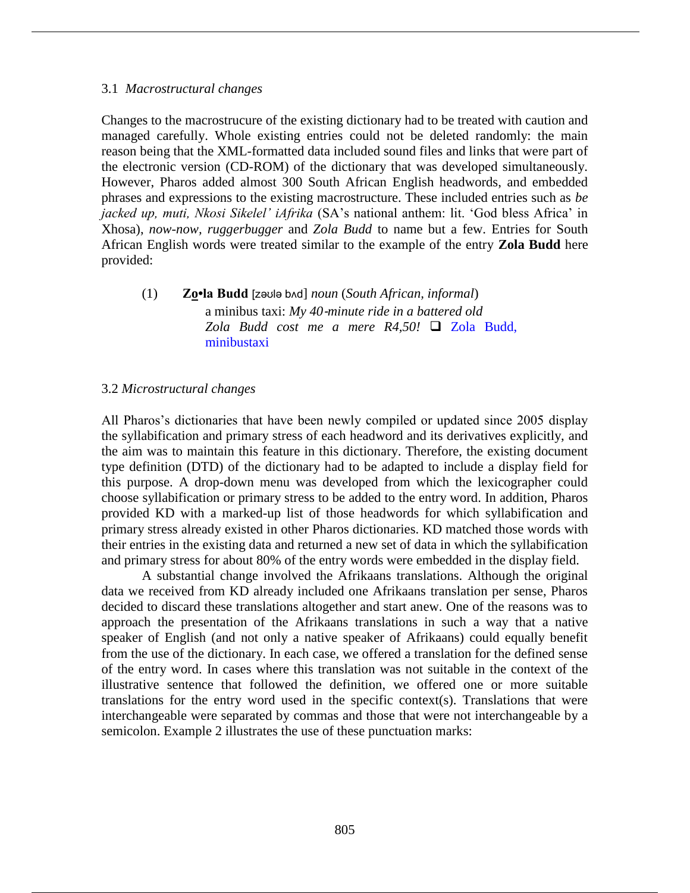#### 3.1 *Macrostructural changes*

Changes to the macrostrucure of the existing dictionary had to be treated with caution and managed carefully. Whole existing entries could not be deleted randomly: the main reason being that the XML-formatted data included sound files and links that were part of the electronic version (CD-ROM) of the dictionary that was developed simultaneously. However, Pharos added almost 300 South African English headwords, and embedded phrases and expressions to the existing macrostructure. These included entries such as *be jacked up, muti, Nkosi Sikelel' iAfrika* (SA's national anthem: lit. 'God bless Africa' in Xhosa), *now-now, ruggerbugger* and *Zola Budd* to name but a few. Entries for South African English words were treated similar to the example of the entry **Zola Budd** here provided:

(1) **Zo•la Budd** [zəʊlə bʌd] *noun* (*South African, informal*) a minibus taxi: *My 40*‐*minute ride in a battered old*  Zola Budd cost me a mere R4,50! □ Zola Budd, minibustaxi

#### 3.2 *Microstructural changes*

All Pharos's dictionaries that have been newly compiled or updated since 2005 display the syllabification and primary stress of each headword and its derivatives explicitly, and the aim was to maintain this feature in this dictionary. Therefore, the existing document type definition (DTD) of the dictionary had to be adapted to include a display field for this purpose. A drop-down menu was developed from which the lexicographer could choose syllabification or primary stress to be added to the entry word. In addition, Pharos provided KD with a marked-up list of those headwords for which syllabification and primary stress already existed in other Pharos dictionaries. KD matched those words with their entries in the existing data and returned a new set of data in which the syllabification and primary stress for about 80% of the entry words were embedded in the display field.

A substantial change involved the Afrikaans translations. Although the original data we received from KD already included one Afrikaans translation per sense, Pharos decided to discard these translations altogether and start anew. One of the reasons was to approach the presentation of the Afrikaans translations in such a way that a native speaker of English (and not only a native speaker of Afrikaans) could equally benefit from the use of the dictionary. In each case, we offered a translation for the defined sense of the entry word. In cases where this translation was not suitable in the context of the illustrative sentence that followed the definition, we offered one or more suitable translations for the entry word used in the specific context(s). Translations that were interchangeable were separated by commas and those that were not interchangeable by a semicolon. Example 2 illustrates the use of these punctuation marks: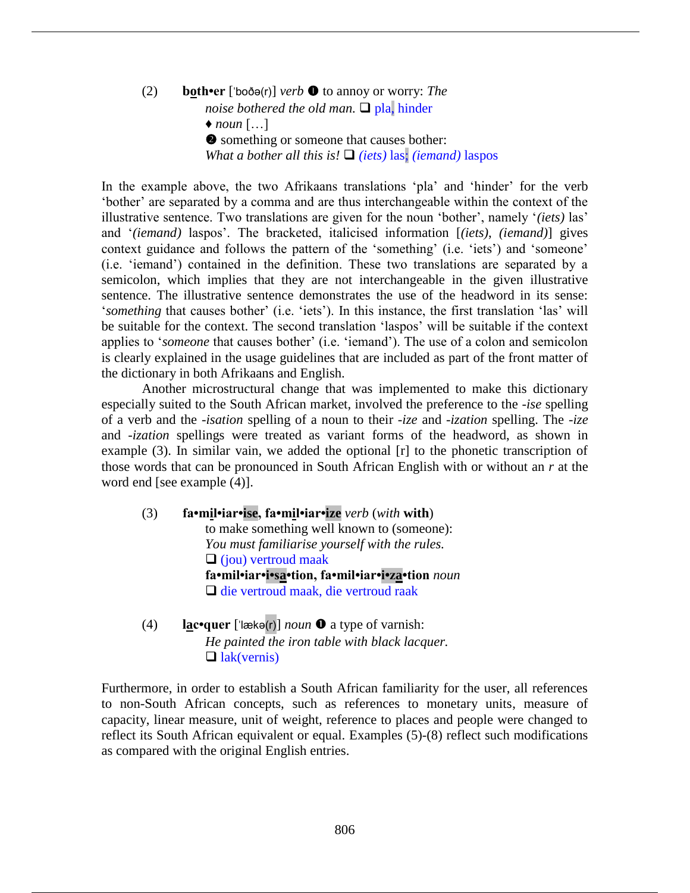(2) **both•er** [ˈboðə(r)] *verb* to annoy or worry: *The noise bothered the old man.*  $\Box$  pla, hinder  $\bullet$  *noun* […]  $\bullet$  something or someone that causes bother: *What a bother all this is!*  $\Box$  *(iets)* las; *(iemand)* laspos

In the example above, the two Afrikaans translations 'pla' and 'hinder' for the verb 'bother' are separated by a comma and are thus interchangeable within the context of the illustrative sentence. Two translations are given for the noun 'bother', namely '*(iets)* las' and '*(iemand)* laspos'. The bracketed, italicised information [*(iets)*, *(iemand)*] gives context guidance and follows the pattern of the 'something' (i.e. 'iets') and 'someone' (i.e. 'iemand') contained in the definition. These two translations are separated by a semicolon, which implies that they are not interchangeable in the given illustrative sentence. The illustrative sentence demonstrates the use of the headword in its sense: '*something* that causes bother' (i.e. 'iets'). In this instance, the first translation 'las' will be suitable for the context. The second translation 'laspos' will be suitable if the context applies to '*someone* that causes bother' (i.e. 'iemand'). The use of a colon and semicolon is clearly explained in the usage guidelines that are included as part of the front matter of the dictionary in both Afrikaans and English.

Another microstructural change that was implemented to make this dictionary especially suited to the South African market, involved the preference to the *-ise* spelling of a verb and the *-isation* spelling of a noun to their *-ize* and *-ization* spelling. The *-ize* and *-ization* spellings were treated as variant forms of the headword, as shown in example (3). In similar vain, we added the optional [r] to the phonetic transcription of those words that can be pronounced in South African English with or without an *r* at the word end [see example (4)].

- (3) **fa•mil•iar•ise, fa•mil•iar•ize** *verb* (*with* **with**) to make something well known to (someone): *You must familiarise yourself with the rules.*   $\Box$  (jou) vertroud maak **fa•mil•iar•i•sa•tion, fa•mil•iar•i•za•tion** *noun*  $\Box$  die vertroud maak, die vertroud raak
- (4) **lac•quer** [ˈlӕkə(r)] *noun* a type of varnish: *He painted the iron table with black lacquer.*  $\Box$  lak(vernis)

Furthermore, in order to establish a South African familiarity for the user, all references to non-South African concepts, such as references to monetary units, measure of capacity, linear measure, unit of weight, reference to places and people were changed to reflect its South African equivalent or equal. Examples (5)-(8) reflect such modifications as compared with the original English entries.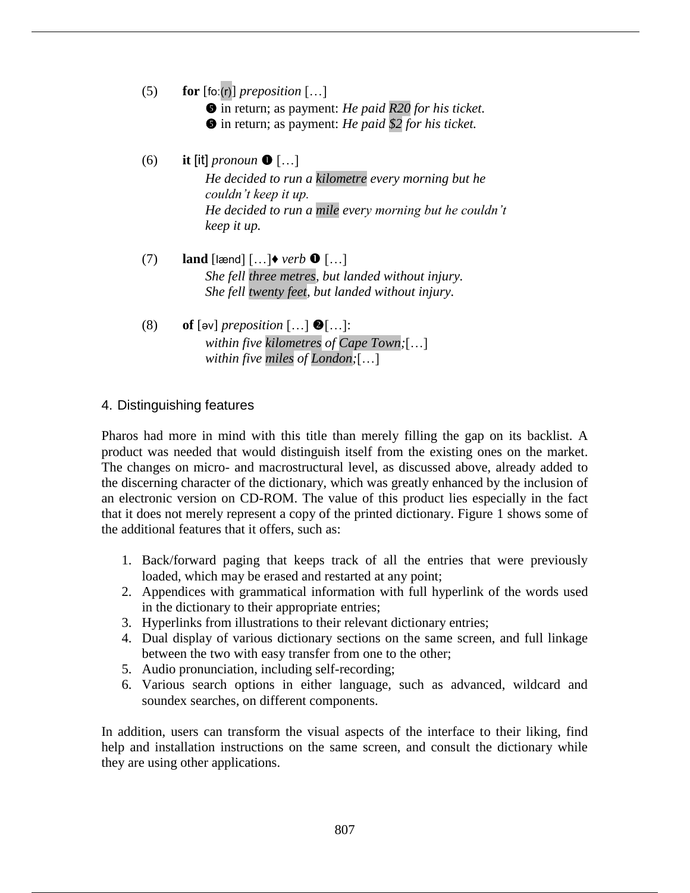- (5) **for** [foː(r)] *preposition* […]
	- $\bullet$  in return; as payment: *He paid R20 for his ticket.*
	- $\bullet$  in return; as payment: *He paid \$2 for his ticket.*
- (6) **it** [it] *pronoun*  $\bullet$  [...] *He decided to run a kilometre every morning but he couldn't keep it up. He decided to run a mile every morning but he couldn't keep it up.*
- $(7)$  **land** [lænd]  $\left[ \ldots \right]$  *verb*  $\mathbf{0}$   $\left[ \ldots \right]$ *She fell three metres, but landed without injury. She fell twenty feet, but landed without injury.*
- (8) **of** [ $\infty$ ] *preposition* [...]  $\bullet$  [...]: *within five kilometres of Cape Town;*[…] *within five miles of London;*[…]

# 4. Distinguishing features

Pharos had more in mind with this title than merely filling the gap on its backlist. A product was needed that would distinguish itself from the existing ones on the market. The changes on micro- and macrostructural level, as discussed above, already added to the discerning character of the dictionary, which was greatly enhanced by the inclusion of an electronic version on CD-ROM. The value of this product lies especially in the fact that it does not merely represent a copy of the printed dictionary. Figure 1 shows some of the additional features that it offers, such as:

- 1. Back/forward paging that keeps track of all the entries that were previously loaded, which may be erased and restarted at any point;
- 2. Appendices with grammatical information with full hyperlink of the words used in the dictionary to their appropriate entries;
- 3. Hyperlinks from illustrations to their relevant dictionary entries;
- 4. Dual display of various dictionary sections on the same screen, and full linkage between the two with easy transfer from one to the other;
- 5. Audio pronunciation, including self-recording;
- 6. Various search options in either language, such as advanced, wildcard and soundex searches, on different components.

In addition, users can transform the visual aspects of the interface to their liking, find help and installation instructions on the same screen, and consult the dictionary while they are using other applications.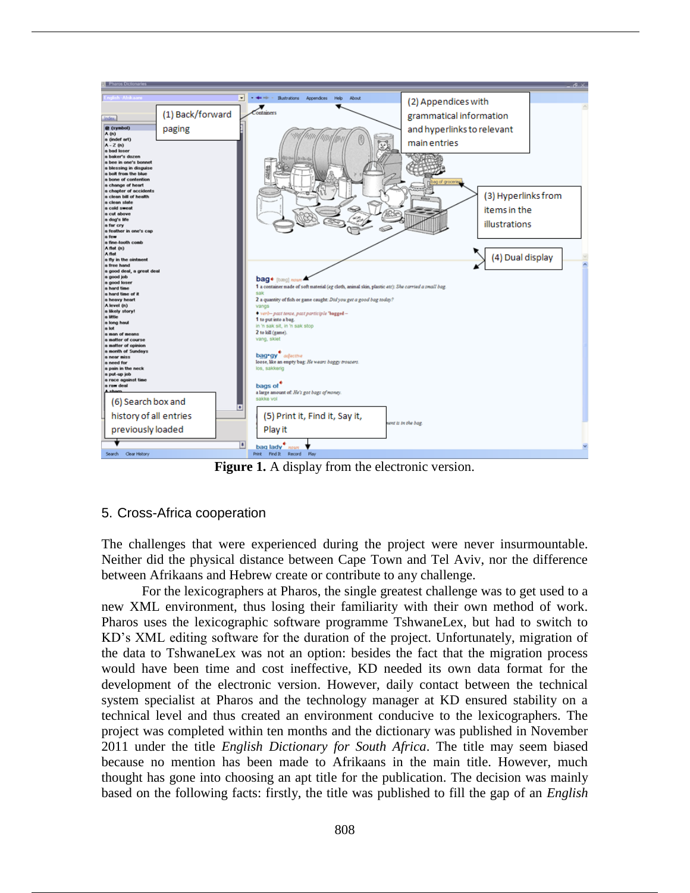

**Figure 1.** A display from the electronic version.

# 5. Cross-Africa cooperation

The challenges that were experienced during the project were never insurmountable. Neither did the physical distance between Cape Town and Tel Aviv, nor the difference between Afrikaans and Hebrew create or contribute to any challenge.

For the lexicographers at Pharos, the single greatest challenge was to get used to a new XML environment, thus losing their familiarity with their own method of work. Pharos uses the lexicographic software programme TshwaneLex, but had to switch to KD's XML editing software for the duration of the project. Unfortunately, migration of the data to TshwaneLex was not an option: besides the fact that the migration process would have been time and cost ineffective, KD needed its own data format for the development of the electronic version. However, daily contact between the technical system specialist at Pharos and the technology manager at KD ensured stability on a technical level and thus created an environment conducive to the lexicographers. The project was completed within ten months and the dictionary was published in November 2011 under the title *English Dictionary for South Africa*. The title may seem biased because no mention has been made to Afrikaans in the main title. However, much thought has gone into choosing an apt title for the publication. The decision was mainly based on the following facts: firstly, the title was published to fill the gap of an *English*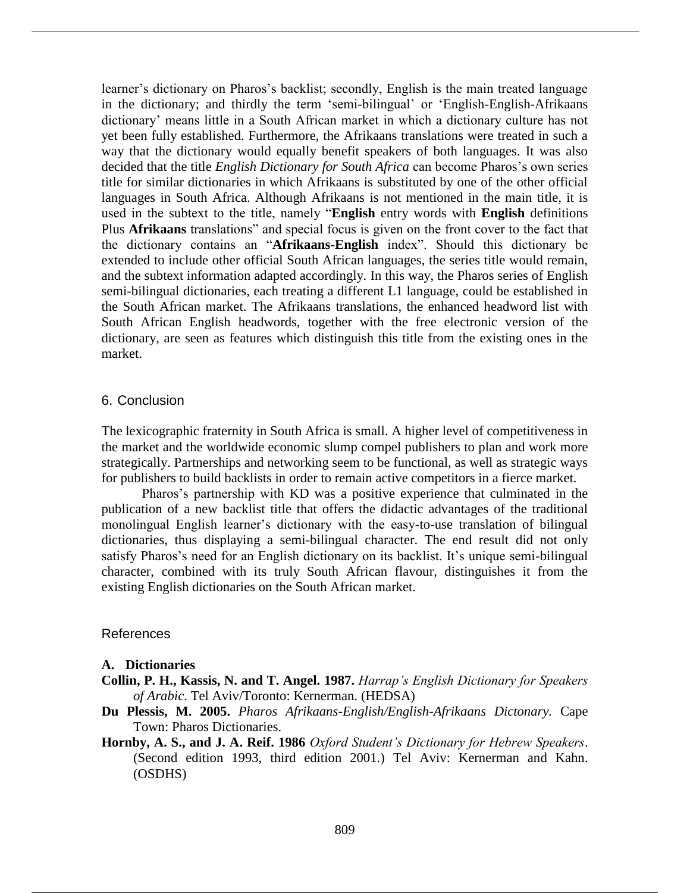learner's dictionary on Pharos's backlist; secondly, English is the main treated language in the dictionary; and thirdly the term 'semi-bilingual' or 'English-English-Afrikaans dictionary' means little in a South African market in which a dictionary culture has not yet been fully established. Furthermore, the Afrikaans translations were treated in such a way that the dictionary would equally benefit speakers of both languages. It was also decided that the title *English Dictionary for South Africa* can become Pharos's own series title for similar dictionaries in which Afrikaans is substituted by one of the other official languages in South Africa. Although Afrikaans is not mentioned in the main title, it is used in the subtext to the title, namely "**English** entry words with **English** definitions Plus **Afrikaans** translations" and special focus is given on the front cover to the fact that the dictionary contains an "**Afrikaans-English** index". Should this dictionary be extended to include other official South African languages, the series title would remain, and the subtext information adapted accordingly. In this way, the Pharos series of English semi-bilingual dictionaries, each treating a different L1 language, could be established in the South African market. The Afrikaans translations, the enhanced headword list with South African English headwords, together with the free electronic version of the dictionary, are seen as features which distinguish this title from the existing ones in the market.

#### 6. Conclusion

The lexicographic fraternity in South Africa is small. A higher level of competitiveness in the market and the worldwide economic slump compel publishers to plan and work more strategically. Partnerships and networking seem to be functional, as well as strategic ways for publishers to build backlists in order to remain active competitors in a fierce market.

Pharos's partnership with KD was a positive experience that culminated in the publication of a new backlist title that offers the didactic advantages of the traditional monolingual English learner's dictionary with the easy-to-use translation of bilingual dictionaries, thus displaying a semi-bilingual character. The end result did not only satisfy Pharos's need for an English dictionary on its backlist. It's unique semi-bilingual character, combined with its truly South African flavour, distinguishes it from the existing English dictionaries on the South African market.

#### References

### **A. Dictionaries**

- **Collin, P. H., Kassis, N. and T. Angel. 1987.** *Harrap's English Dictionary for Speakers of Arabic*. Tel Aviv/Toronto: Kernerman. (HEDSA)
- **Du Plessis, M. 2005.** *Pharos Afrikaans-English/English-Afrikaans Dictonary.* Cape Town: Pharos Dictionaries.
- **Hornby, A. S., and J. A. Reif. 1986** *Oxford Student's Dictionary for Hebrew Speakers*. (Second edition 1993, third edition 2001.) Tel Aviv: Kernerman and Kahn. (OSDHS)